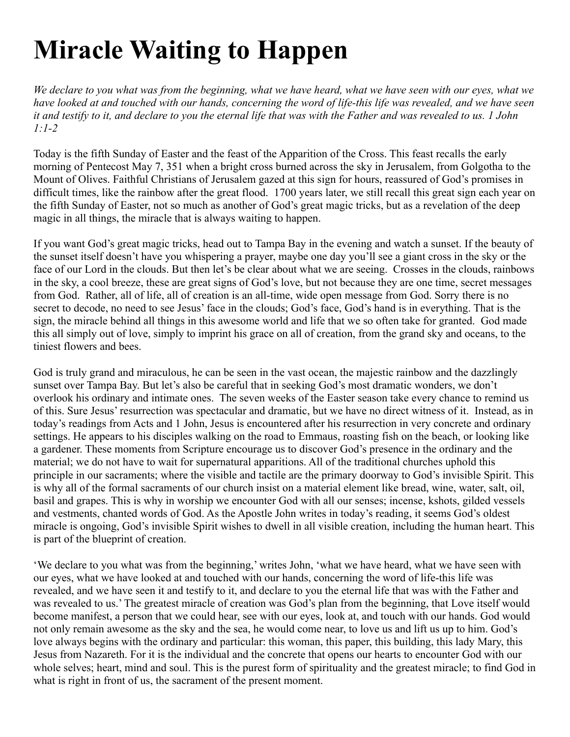## **Miracle Waiting to Happen**

*We declare to you what was from the beginning, what we have heard, what we have seen with our eyes, what we have looked at and touched with our hands, concerning the word of life-this life was revealed, and we have seen it and testify to it, and declare to you the eternal life that was with the Father and was revealed to us. 1 John 1:1-2*

Today is the fifth Sunday of Easter and the feast of the Apparition of the Cross. This feast recalls the early morning of Pentecost May 7, 351 when a bright cross burned across the sky in Jerusalem, from Golgotha to the Mount of Olives. Faithful Christians of Jerusalem gazed at this sign for hours, reassured of God's promises in difficult times, like the rainbow after the great flood. 1700 years later, we still recall this great sign each year on the fifth Sunday of Easter, not so much as another of God's great magic tricks, but as a revelation of the deep magic in all things, the miracle that is always waiting to happen.

If you want God's great magic tricks, head out to Tampa Bay in the evening and watch a sunset. If the beauty of the sunset itself doesn't have you whispering a prayer, maybe one day you'll see a giant cross in the sky or the face of our Lord in the clouds. But then let's be clear about what we are seeing. Crosses in the clouds, rainbows in the sky, a cool breeze, these are great signs of God's love, but not because they are one time, secret messages from God. Rather, all of life, all of creation is an all-time, wide open message from God. Sorry there is no secret to decode, no need to see Jesus' face in the clouds; God's face, God's hand is in everything. That is the sign, the miracle behind all things in this awesome world and life that we so often take for granted. God made this all simply out of love, simply to imprint his grace on all of creation, from the grand sky and oceans, to the tiniest flowers and bees.

God is truly grand and miraculous, he can be seen in the vast ocean, the majestic rainbow and the dazzlingly sunset over Tampa Bay. But let's also be careful that in seeking God's most dramatic wonders, we don't overlook his ordinary and intimate ones. The seven weeks of the Easter season take every chance to remind us of this. Sure Jesus' resurrection was spectacular and dramatic, but we have no direct witness of it. Instead, as in today's readings from Acts and 1 John, Jesus is encountered after his resurrection in very concrete and ordinary settings. He appears to his disciples walking on the road to Emmaus, roasting fish on the beach, or looking like a gardener. These moments from Scripture encourage us to discover God's presence in the ordinary and the material; we do not have to wait for supernatural apparitions. All of the traditional churches uphold this principle in our sacraments; where the visible and tactile are the primary doorway to God's invisible Spirit. This is why all of the formal sacraments of our church insist on a material element like bread, wine, water, salt, oil, basil and grapes. This is why in worship we encounter God with all our senses; incense, kshots, gilded vessels and vestments, chanted words of God. As the Apostle John writes in today's reading, it seems God's oldest miracle is ongoing, God's invisible Spirit wishes to dwell in all visible creation, including the human heart. This is part of the blueprint of creation.

'We declare to you what was from the beginning,' writes John, 'what we have heard, what we have seen with our eyes, what we have looked at and touched with our hands, concerning the word of life-this life was revealed, and we have seen it and testify to it, and declare to you the eternal life that was with the Father and was revealed to us.' The greatest miracle of creation was God's plan from the beginning, that Love itself would become manifest, a person that we could hear, see with our eyes, look at, and touch with our hands. God would not only remain awesome as the sky and the sea, he would come near, to love us and lift us up to him. God's love always begins with the ordinary and particular: this woman, this paper, this building, this lady Mary, this Jesus from Nazareth. For it is the individual and the concrete that opens our hearts to encounter God with our whole selves; heart, mind and soul. This is the purest form of spirituality and the greatest miracle; to find God in what is right in front of us, the sacrament of the present moment.